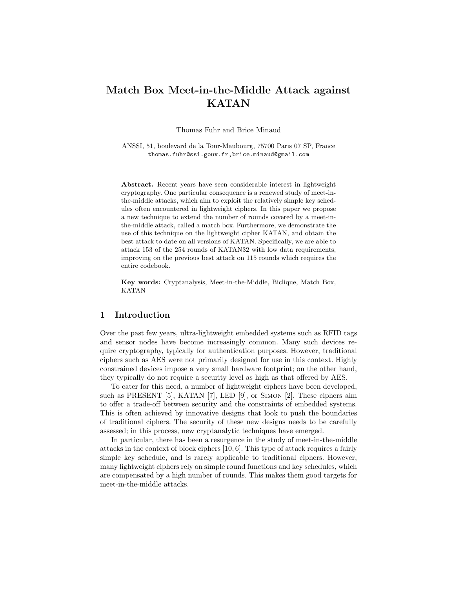# Match Box Meet-in-the-Middle Attack against KATAN

Thomas Fuhr and Brice Minaud

ANSSI, 51, boulevard de la Tour-Maubourg, 75700 Paris 07 SP, France thomas.fuhr@ssi.gouv.fr,brice.minaud@gmail.com

Abstract. Recent years have seen considerable interest in lightweight cryptography. One particular consequence is a renewed study of meet-inthe-middle attacks, which aim to exploit the relatively simple key schedules often encountered in lightweight ciphers. In this paper we propose a new technique to extend the number of rounds covered by a meet-inthe-middle attack, called a match box. Furthermore, we demonstrate the use of this technique on the lightweight cipher KATAN, and obtain the best attack to date on all versions of KATAN. Specifically, we are able to attack 153 of the 254 rounds of KATAN32 with low data requirements, improving on the previous best attack on 115 rounds which requires the entire codebook.

Key words: Cryptanalysis, Meet-in-the-Middle, Biclique, Match Box, KATAN

# 1 Introduction

Over the past few years, ultra-lightweight embedded systems such as RFID tags and sensor nodes have become increasingly common. Many such devices require cryptography, typically for authentication purposes. However, traditional ciphers such as AES were not primarily designed for use in this context. Highly constrained devices impose a very small hardware footprint; on the other hand, they typically do not require a security level as high as that offered by AES.

To cater for this need, a number of lightweight ciphers have been developed, such as PRESENT [5], KATAN [7], LED [9], or Simon [2]. These ciphers aim to offer a trade-off between security and the constraints of embedded systems. This is often achieved by innovative designs that look to push the boundaries of traditional ciphers. The security of these new designs needs to be carefully assessed; in this process, new cryptanalytic techniques have emerged.

In particular, there has been a resurgence in the study of meet-in-the-middle attacks in the context of block ciphers [10, 6]. This type of attack requires a fairly simple key schedule, and is rarely applicable to traditional ciphers. However, many lightweight ciphers rely on simple round functions and key schedules, which are compensated by a high number of rounds. This makes them good targets for meet-in-the-middle attacks.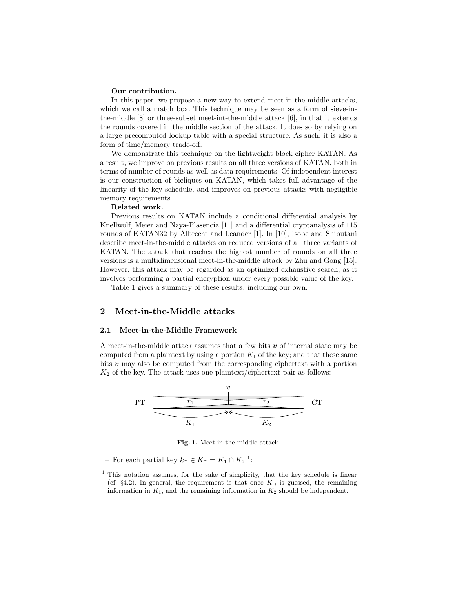#### Our contribution.

In this paper, we propose a new way to extend meet-in-the-middle attacks, which we call a match box. This technique may be seen as a form of sieve-inthe-middle [8] or three-subset meet-int-the-middle attack [6], in that it extends the rounds covered in the middle section of the attack. It does so by relying on a large precomputed lookup table with a special structure. As such, it is also a form of time/memory trade-off.

We demonstrate this technique on the lightweight block cipher KATAN. As a result, we improve on previous results on all three versions of KATAN, both in terms of number of rounds as well as data requirements. Of independent interest is our construction of bicliques on KATAN, which takes full advantage of the linearity of the key schedule, and improves on previous attacks with negligible memory requirements

### Related work.

Previous results on KATAN include a conditional differential analysis by Knellwolf, Meier and Naya-Plasencia [11] and a differential cryptanalysis of 115 rounds of KATAN32 by Albrecht and Leander [1]. In [10], Isobe and Shibutani describe meet-in-the-middle attacks on reduced versions of all three variants of KATAN. The attack that reaches the highest number of rounds on all three versions is a multidimensional meet-in-the-middle attack by Zhu and Gong [15]. However, this attack may be regarded as an optimized exhaustive search, as it involves performing a partial encryption under every possible value of the key.

Table 1 gives a summary of these results, including our own.

# 2 Meet-in-the-Middle attacks

#### 2.1 Meet-in-the-Middle Framework

A meet-in-the-middle attack assumes that a few bits  $v$  of internal state may be computed from a plaintext by using a portion  $K_1$  of the key; and that these same bits  $v$  may also be computed from the corresponding ciphertext with a portion  $K_2$  of the key. The attack uses one plaintext/ciphertext pair as follows:



Fig. 1. Meet-in-the-middle attack.

− For each partial key  $k_∩ ∈ K_∩ = K_1 ∩ K_2$ <sup>1</sup>:

<sup>&</sup>lt;sup>1</sup> This notation assumes, for the sake of simplicity, that the key schedule is linear (cf. §4.2). In general, the requirement is that once  $K_{\cap}$  is guessed, the remaining information in  $K_1$ , and the remaining information in  $K_2$  should be independent.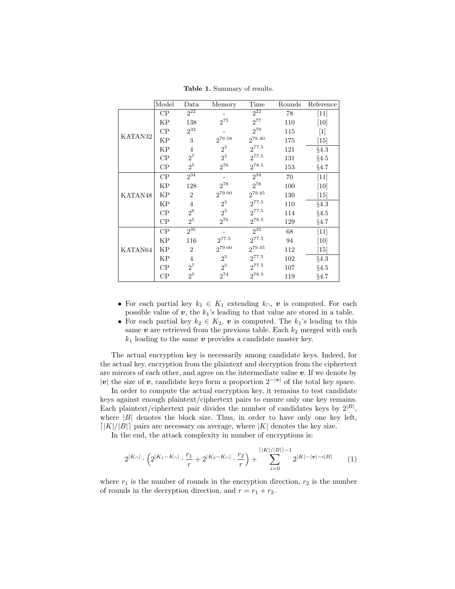|         | Model    | Data                        | Memory         | Time               | Rounds | Reference         |
|---------|----------|-----------------------------|----------------|--------------------|--------|-------------------|
|         | CP       | $2^{22}$                    |                | $2^{22}$           | 78     | $[11]$            |
|         | KP       | 138                         | $2^{75}$       | $2^{77}$           | 110    | [10]              |
|         | CP       | $2^{32}$                    |                | $2^{79}$           | 115    | $[1]$             |
| KATAN32 | KP       | 3                           | $2^{79.58}$    | 2 <sup>79.30</sup> | 175    | [15]              |
|         | KP       | $\overline{4}$              | $2^5$          | $2^{77.5}$         | 121    | §4.3              |
|         | CP       | $2^7$                       | 2 <sup>5</sup> | $2^{77.5}$         | 131    | §4.5              |
|         | $\rm CP$ | 2 <sup>5</sup>              | $2^{76}$       | $2^{78.5}$         | 153    | §4.7              |
|         | CP       | $2^{34}$                    |                | $2^{34}$           | 70     | $[11]$            |
|         | KP       | 128                         | $2^{78}$       | $2^{78}$           | 100    | [10]              |
| KATAN48 | KP       | $\overline{2}$              | $2^{79.00}$    | $2^{79.45}$        | 130    | [15]              |
|         | KP       | $\overline{4}$              | $2^5$          | $2^{77.5}$         | 110    | §4.3              |
|         | CP       | 2 <sup>6</sup>              | 2 <sup>5</sup> | $2^{77.5}$         | 114    | §4.5              |
|         | CP       | $2^5$                       | $2^{76}$       | $2^{78.5}$         | 129    | §4.7              |
|         | CP       | $2^{35}$                    |                | $2^{35}$           | 68     | $[11]$            |
|         | KP       | 116                         | $2^{77.5}$     | $2^{77.5}$         | 94     | [10]              |
| KATAN64 | KP       | $\mathcal{D}_{\mathcal{L}}$ | $2^{79.00}$    | 279.45             | 112    | $\left[15\right]$ |
|         | ΚP       | $\overline{4}$              | $2^5$          | $2^{77.5}$         | 102    | §4.3              |
|         | CP       | $2^7$                       | $2^5\,$        | $2^{77.5}$         | 107    | §4.5              |
|         | $\rm CP$ | 2 <sup>5</sup>              | $2^{74}$       | $2^{78.5}$         | 119    | §4.7              |

Table 1. Summary of results.

- For each partial key  $k_1 \in K_1$  extending  $k_0$ , v is computed. For each possible value of  $v$ , the  $k_1$ 's leading to that value are stored in a table.
- For each partial key  $k_2 \in K_2$ , v is computed. The  $k_1$ 's leading to this same  $v$  are retrieved from the previous table. Each  $k_2$  merged with each  $k_1$  leading to the same  $v$  provides a candidate master key.

The actual encryption key is necessarily among candidate keys. Indeed, for the actual key, encryption from the plaintext and decryption from the ciphertext are mirrors of each other, and agree on the intermediate value  $v$ . If we denote by |v| the size of v, candidate keys form a proportion  $2^{-|v|}$  of the total key space.

In order to compute the actual encryption key, it remains to test candidate keys against enough plaintext/ciphertext pairs to ensure only one key remains. Each plaintext/ciphertext pair divides the number of candidates keys by  $2^{|B|}$ , where  $|B|$  denotes the block size. Thus, in order to have only one key left,  $\lceil|K|/|B|\rceil$  pairs are necessary on average, where  $|K|$  denotes the key size.

In the end, the attack complexity in number of encryptions is:

$$
2^{|K_{\cap}|} \cdot \left(2^{|K_1 - K_{\cap}|} \cdot \frac{r_1}{r} + 2^{|K_2 - K_{\cap}|} \cdot \frac{r_2}{r}\right) + \sum_{i=0}^{\lceil |K|/|B|\rceil - 1} 2^{|K| - |\mathbf{v}| - i|B|} \tag{1}
$$

where  $r_1$  is the number of rounds in the encryption direction,  $r_2$  is the number of rounds in the decryption direction, and  $r = r_1 + r_2$ .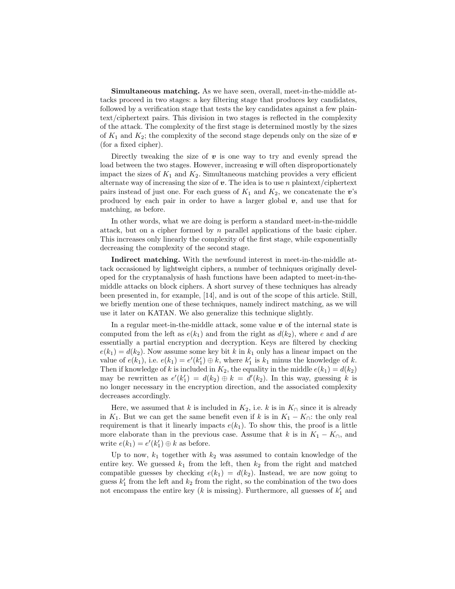Simultaneous matching. As we have seen, overall, meet-in-the-middle attacks proceed in two stages: a key filtering stage that produces key candidates, followed by a verification stage that tests the key candidates against a few plaintext/ciphertext pairs. This division in two stages is reflected in the complexity of the attack. The complexity of the first stage is determined mostly by the sizes of  $K_1$  and  $K_2$ ; the complexity of the second stage depends only on the size of  $\boldsymbol{v}$ (for a fixed cipher).

Directly tweaking the size of  $\boldsymbol{v}$  is one way to try and evenly spread the load between the two stages. However, increasing  $v$  will often disproportionately impact the sizes of  $K_1$  and  $K_2$ . Simultaneous matching provides a very efficient alternate way of increasing the size of  $v$ . The idea is to use n plaintext/ciphertext pairs instead of just one. For each guess of  $K_1$  and  $K_2$ , we concatenate the v's produced by each pair in order to have a larger global  $v$ , and use that for matching, as before.

In other words, what we are doing is perform a standard meet-in-the-middle attack, but on a cipher formed by  $n$  parallel applications of the basic cipher. This increases only linearly the complexity of the first stage, while exponentially decreasing the complexity of the second stage.

Indirect matching. With the newfound interest in meet-in-the-middle attack occasioned by lightweight ciphers, a number of techniques originally developed for the cryptanalysis of hash functions have been adapted to meet-in-themiddle attacks on block ciphers. A short survey of these techniques has already been presented in, for example, [14], and is out of the scope of this article. Still, we briefly mention one of these techniques, namely indirect matching, as we will use it later on KATAN. We also generalize this technique slightly.

In a regular meet-in-the-middle attack, some value  $\boldsymbol{v}$  of the internal state is computed from the left as  $e(k_1)$  and from the right as  $d(k_2)$ , where e and d are essentially a partial encryption and decryption. Keys are filtered by checking  $e(k_1) = d(k_2)$ . Now assume some key bit k in  $k_1$  only has a linear impact on the value of  $e(k_1)$ , i.e.  $e(k_1) = e'(k'_1) \oplus k$ , where  $k'_1$  is  $k_1$  minus the knowledge of k. Then if knowledge of k is included in  $K_2$ , the equality in the middle  $e(k_1) = d(k_2)$ may be rewritten as  $e'(k'_1) = d(k_2) \oplus k = d'(k_2)$ . In this way, guessing k is no longer necessary in the encryption direction, and the associated complexity decreases accordingly.

Here, we assumed that k is included in  $K_2$ , i.e. k is in  $K_0$  since it is already in K<sub>1</sub>. But we can get the same benefit even if k is in  $K_1 - K_0$ : the only real requirement is that it linearly impacts  $e(k_1)$ . To show this, the proof is a little more elaborate than in the previous case. Assume that k is in  $K_1 - K_0$ , and write  $e(k_1) = e'(k'_1) \oplus k$  as before.

Up to now,  $k_1$  together with  $k_2$  was assumed to contain knowledge of the entire key. We guessed  $k_1$  from the left, then  $k_2$  from the right and matched compatible guesses by checking  $e(k_1) = d(k_2)$ . Instead, we are now going to guess  $k_1'$  from the left and  $k_2$  from the right, so the combination of the two does not encompass the entire key ( $k$  is missing). Furthermore, all guesses of  $k'_1$  and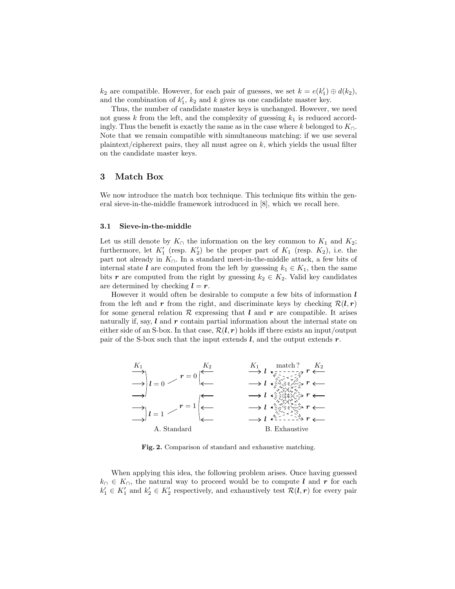$k_2$  are compatible. However, for each pair of guesses, we set  $k = e(k'_1) \oplus d(k_2)$ , and the combination of  $k'_1$ ,  $k_2$  and k gives us one candidate master key.

Thus, the number of candidate master keys is unchanged. However, we need not guess k from the left, and the complexity of guessing  $k_1$  is reduced accordingly. Thus the benefit is exactly the same as in the case where k belonged to  $K_{\cap}$ . Note that we remain compatible with simultaneous matching: if we use several plaintext/cipherext pairs, they all must agree on  $k$ , which yields the usual filter on the candidate master keys.

### 3 Match Box

We now introduce the match box technique. This technique fits within the general sieve-in-the-middle framework introduced in [8], which we recall here.

#### 3.1 Sieve-in-the-middle

Let us still denote by  $K<sub>∩</sub>$  the information on the key common to  $K<sub>1</sub>$  and  $K<sub>2</sub>$ ; furthermore, let  $K_1'$  (resp.  $K_2'$ ) be the proper part of  $K_1$  (resp.  $K_2$ ), i.e. the part not already in  $K_{\cap}$ . In a standard meet-in-the-middle attack, a few bits of internal state l are computed from the left by guessing  $k_1 \in K_1$ , then the same bits r are computed from the right by guessing  $k_2 \in K_2$ . Valid key candidates are determined by checking  $l = r$ .

However it would often be desirable to compute a few bits of information  $l$ from the left and r from the right, and discriminate keys by checking  $\mathcal{R}(l, r)$ for some general relation  $R$  expressing that  $l$  and  $r$  are compatible. It arises naturally if, say,  $\boldsymbol{l}$  and  $\boldsymbol{r}$  contain partial information about the internal state on either side of an S-box. In that case,  $\mathcal{R}(l, r)$  holds iff there exists an input/output pair of the S-box such that the input extends  $l$ , and the output extends  $r$ .



Fig. 2. Comparison of standard and exhaustive matching.

When applying this idea, the following problem arises. Once having guessed  $k_{\cap} \in K_{\cap}$ , the natural way to proceed would be to compute l and r for each  $k'_1 \in K'_1$  and  $k'_2 \in K'_2$  respectively, and exhaustively test  $\mathcal{R}(l, r)$  for every pair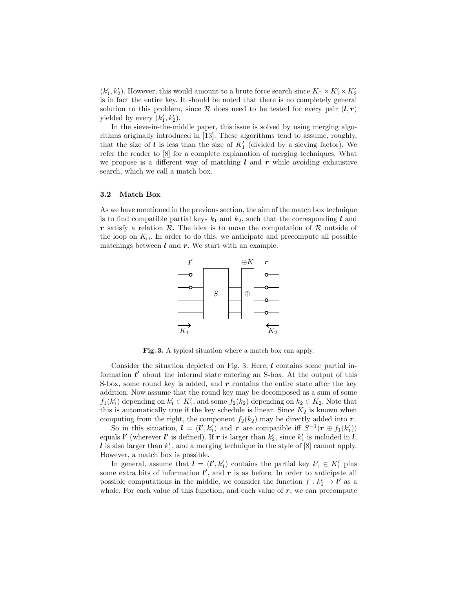$(k'_1, k'_2)$ . However, this would amount to a brute force search since  $K_1 \times K'_1 \times K'_2$ is in fact the entire key. It should be noted that there is no completely general solution to this problem, since  $\mathcal R$  does need to be tested for every pair  $(l, r)$ yielded by every  $(k'_1, k'_2)$ .

In the sieve-in-the-middle paper, this issue is solved by using merging algorithms originally introduced in [13]. These algorithms tend to assume, roughly, that the size of  $\boldsymbol{l}$  is less than the size of  $K_1'$  (divided by a sieving factor). We refer the reader to [8] for a complete explanation of merging techniques. What we propose is a different way of matching  $l$  and  $r$  while avoiding exhaustive search, which we call a match box.

#### 3.2 Match Box

As we have mentioned in the previous section, the aim of the match box technique is to find compatible partial keys  $k_1$  and  $k_2$ , such that the corresponding l and r satisfy a relation  $\mathcal R$ . The idea is to move the computation of  $\mathcal R$  outside of the loop on  $K_{\cap}$ . In order to do this, we anticipate and precompute all possible matchings between  $l$  and  $r$ . We start with an example.



Fig. 3. A typical situation where a match box can apply.

Consider the situation depicted on Fig. 3. Here,  $l$  contains some partial information  $l'$  about the internal state entering an S-box. At the output of this S-box, some round key is added, and  $r$  contains the entire state after the key addition. Now assume that the round key may be decomposed as a sum of some  $f_1(k'_1)$  depending on  $k'_1 \in K'_1$ , and some  $f_2(k_2)$  depending on  $k_2 \in K_2$ . Note that this is automatically true if the key schedule is linear. Since  $K_2$  is known when computing from the right, the component  $f_2(k_2)$  may be directly added into r.

So in this situation,  $\mathbf{l} = (\mathbf{l}', k'_1)$  and  $\mathbf{r}$  are compatible iff  $S^{-1}(\mathbf{r} \oplus f_1(k'_1))$ equals  $l'$  (wherever  $l'$  is defined). If  $r$  is larger than  $k'_2$ , since  $k'_1$  is included in  $l$ ,  $l$  is also larger than  $k'_1$ , and a merging technique in the style of [8] cannot apply. However, a match box is possible.

In general, assume that  $\mathbf{l} = (\mathbf{l}', k'_1)$  contains the partial key  $k'_1 \in K'_1$  plus some extra bits of information  $l'$ , and  $r$  is as before. In order to anticipate all possible computations in the middle, we consider the function  $f : k'_1 \mapsto l'$  as a whole. For each value of this function, and each value of  $r$ , we can precompute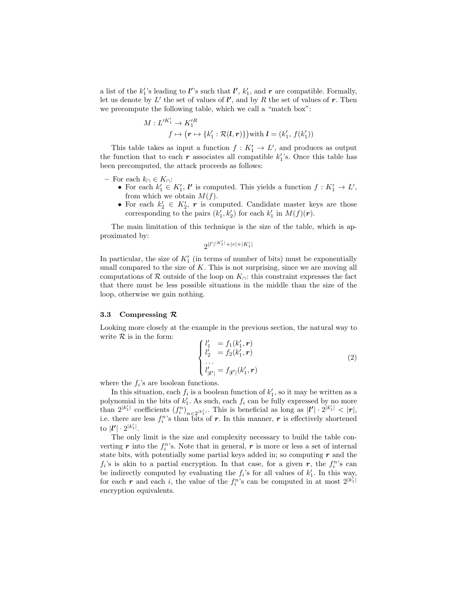a list of the  $k_1$ 's leading to *l*''s such that *l***'**,  $k_1$ <sup>'</sup>, and *r* are compatible. Formally, let us denote by  $L'$  the set of values of  $l'$ , and by R the set of values of r. Then we precompute the following table, which we call a "match box":

$$
M: L'^{K'_1} \to K'^R_1
$$
  

$$
f \mapsto (r \mapsto \{k'_1 : \mathcal{R}(l, r)\}) \text{with } l = (k'_1, f(k'_1))
$$

This table takes as input a function  $f: K'_1 \to L'$ , and produces as output the function that to each  $r$  associates all compatible  $k_1$ 's. Once this table has been precomputed, the attack proceeds as follows:

- For each  $k_{\cap} \in K_{\cap}$ :
	- For each  $k'_1 \in K'_1$ ,  $\mathbf{l}'$  is computed. This yields a function  $f : K'_1 \to L'$ , from which we obtain  $M(f)$ .
	- For each  $k'_2 \in K'_2$ , r is computed. Candidate master keys are those corresponding to the pairs  $(k'_1, k'_2)$  for each  $k'_1$  in  $M(f)(r)$ .

The main limitation of this technique is the size of the table, which is approximated by:

 $2^{|l'|^{|K_1'|}+|r|+|K_1'|}$ 

In particular, the size of  $K_1'$  (in terms of number of bits) must be exponentially small compared to the size of  $K$ . This is not surprising, since we are moving all computations of R outside of the loop on  $K_{\Omega}$ : this constraint expresses the fact that there must be less possible situations in the middle than the size of the loop, otherwise we gain nothing.

#### 3.3 Compressing R

Looking more closely at the example in the previous section, the natural way to write  $R$  is in the form:

$$
\begin{cases}\n l_1' &= f_1(k_1', r) \\
 l_2' &= f_2(k_1', r) \\
 \vdots \\
 l_{|\mathcal{V}|}' = f_{|\mathcal{V}|}(k_1', r)\n\end{cases} (2)
$$

where the  $f_i$ 's are boolean functions.

In this situation, each  $f_i$  is a boolean function of  $k'_1$ , so it may be written as a polynomial in the bits of  $k'_1$ . As such, each  $f_i$  can be fully expressed by no more than  $2^{|k'_1|}$  coefficients  $(f_i^n)_{n \leq 2^{|k'_1|}}$ . This is beneficial as long as  $|l'| \cdot 2^{|k'_1|} < |r|$ , i.e. there are less  $f_i^n$ 's than bits of r. In this manner, r is effectively shortened to  $|\bm{l'}| \cdot 2^{|k'_1|}$ .

The only limit is the size and complexity necessary to build the table converting  $r$  into the  $f_i^n$ 's. Note that in general,  $r$  is more or less a set of internal state bits, with potentially some partial keys added in; so computing  $r$  and the  $f_i$ 's is akin to a partial encryption. In that case, for a given r, the  $f_i^n$ 's can be indirectly computed by evaluating the  $f_i$ 's for all values of  $k'_1$ . In this way, for each r and each i, the value of the  $f_i^{n}$ 's can be computed in at most  $2^{|k_1|}$ encryption equivalents.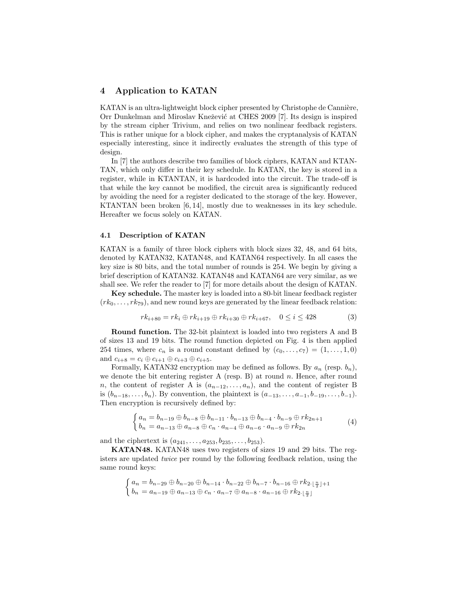# 4 Application to KATAN

KATAN is an ultra-lightweight block cipher presented by Christophe de Cannière, Orr Dunkelman and Miroslav Knežević at CHES 2009 [7]. Its design is inspired by the stream cipher Trivium, and relies on two nonlinear feedback registers. This is rather unique for a block cipher, and makes the cryptanalysis of KATAN especially interesting, since it indirectly evaluates the strength of this type of design.

In [7] the authors describe two families of block ciphers, KATAN and KTAN-TAN, which only differ in their key schedule. In KATAN, the key is stored in a register, while in KTANTAN, it is hardcoded into the circuit. The trade-off is that while the key cannot be modified, the circuit area is significantly reduced by avoiding the need for a register dedicated to the storage of the key. However, KTANTAN been broken [6, 14], mostly due to weaknesses in its key schedule. Hereafter we focus solely on KATAN.

#### 4.1 Description of KATAN

KATAN is a family of three block ciphers with block sizes 32, 48, and 64 bits, denoted by KATAN32, KATAN48, and KATAN64 respectively. In all cases the key size is 80 bits, and the total number of rounds is 254. We begin by giving a brief description of KATAN32. KATAN48 and KATAN64 are very similar, as we shall see. We refer the reader to [7] for more details about the design of KATAN.

Key schedule. The master key is loaded into a 80-bit linear feedback register  $(rk_0, \ldots, rk_{79})$ , and new round keys are generated by the linear feedback relation:

$$
rk_{i+80} = rk_i \oplus rk_{i+19} \oplus rk_{i+30} \oplus rk_{i+67}, \quad 0 \le i \le 428
$$
 (3)

Round function. The 32-bit plaintext is loaded into two registers A and B of sizes 13 and 19 bits. The round function depicted on Fig. 4 is then applied 254 times, where  $c_n$  is a round constant defined by  $(c_0, \ldots, c_7) = (1, \ldots, 1, 0)$ and  $c_{i+8} = c_i \oplus c_{i+1} \oplus c_{i+3} \oplus c_{i+5}$ .

Formally, KATAN32 encryption may be defined as follows. By  $a_n$  (resp.  $b_n$ ), we denote the bit entering register A (resp. B) at round  $n$ . Hence, after round n, the content of register A is  $(a_{n-12},...,a_n)$ , and the content of register B is  $(b_{n-18}, \ldots, b_n)$ . By convention, the plaintext is  $(a_{-13}, \ldots, a_{-1}, b_{-19}, \ldots, b_{-1})$ . Then encryption is recursively defined by:

$$
\begin{cases}\na_n = b_{n-19} \oplus b_{n-8} \oplus b_{n-11} \cdot b_{n-13} \oplus b_{n-4} \cdot b_{n-9} \oplus r k_{2n+1} \\
b_n = a_{n-13} \oplus a_{n-8} \oplus c_n \cdot a_{n-4} \oplus a_{n-6} \cdot a_{n-9} \oplus r k_{2n}\n\end{cases} \tag{4}
$$

and the ciphertext is  $(a_{241}, \ldots, a_{253}, b_{235}, \ldots, b_{253}).$ 

KATAN48. KATAN48 uses two registers of sizes 19 and 29 bits. The registers are updated twice per round by the following feedback relation, using the same round keys:

$$
\begin{cases}\na_n = b_{n-29} \oplus b_{n-20} \oplus b_{n-14} \cdot b_{n-22} \oplus b_{n-7} \cdot b_{n-16} \oplus r k_{2 \cdot \lfloor \frac{n}{2} \rfloor + 1} \\
b_n = a_{n-19} \oplus a_{n-13} \oplus c_n \cdot a_{n-7} \oplus a_{n-8} \cdot a_{n-16} \oplus r k_{2 \cdot \lfloor \frac{n}{2} \rfloor}\n\end{cases}
$$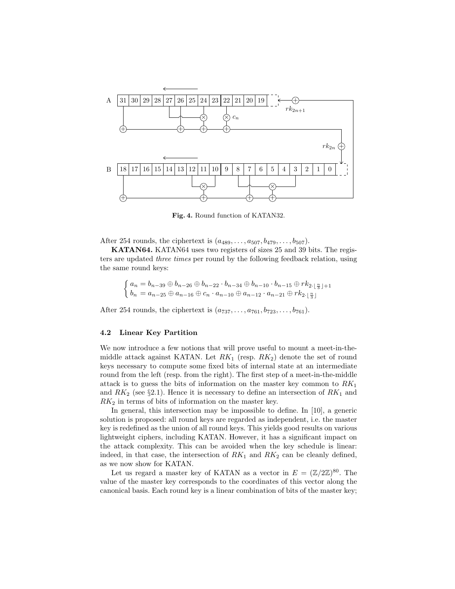

Fig. 4. Round function of KATAN32.

After 254 rounds, the ciphertext is  $(a_{489}, \ldots, a_{507}, b_{479}, \ldots, b_{507})$ .

KATAN64. KATAN64 uses two registers of sizes 25 and 39 bits. The registers are updated three times per round by the following feedback relation, using the same round keys:

$$
\begin{cases}\na_n = b_{n-39} \oplus b_{n-26} \oplus b_{n-22} \cdot b_{n-34} \oplus b_{n-10} \cdot b_{n-15} \oplus r k_{2 \cdot \lfloor \frac{n}{3} \rfloor + 1} \\
b_n = a_{n-25} \oplus a_{n-16} \oplus c_n \cdot a_{n-10} \oplus a_{n-12} \cdot a_{n-21} \oplus r k_{2 \cdot \lfloor \frac{n}{3} \rfloor}\n\end{cases}
$$

After 254 rounds, the ciphertext is  $(a_{737}, \ldots, a_{761}, b_{723}, \ldots, b_{761})$ .

#### 4.2 Linear Key Partition

We now introduce a few notions that will prove useful to mount a meet-in-themiddle attack against KATAN. Let  $RK_1$  (resp.  $RK_2$ ) denote the set of round keys necessary to compute some fixed bits of internal state at an intermediate round from the left (resp. from the right). The first step of a meet-in-the-middle attack is to guess the bits of information on the master key common to  $RK_1$ and  $RK_2$  (see §2.1). Hence it is necessary to define an intersection of  $RK_1$  and  $RK<sub>2</sub>$  in terms of bits of information on the master key.

In general, this intersection may be impossible to define. In [10], a generic solution is proposed: all round keys are regarded as independent, i.e. the master key is redefined as the union of all round keys. This yields good results on various lightweight ciphers, including KATAN. However, it has a significant impact on the attack complexity. This can be avoided when the key schedule is linear: indeed, in that case, the intersection of  $RK_1$  and  $RK_2$  can be cleanly defined, as we now show for KATAN.

Let us regard a master key of KATAN as a vector in  $E = (\mathbb{Z}/2\mathbb{Z})^{80}$ . The value of the master key corresponds to the coordinates of this vector along the canonical basis. Each round key is a linear combination of bits of the master key;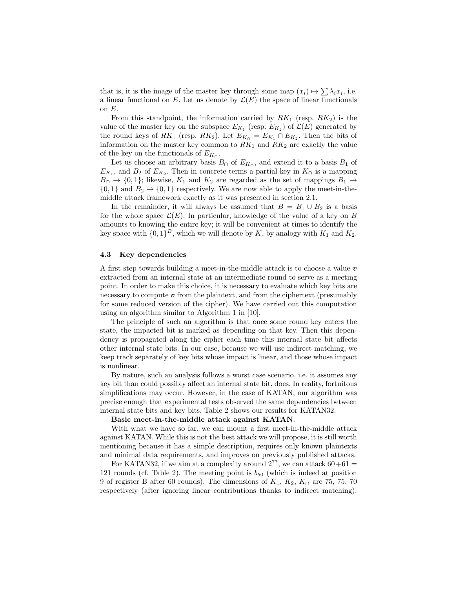that is, it is the image of the master key through some map  $(x_i) \mapsto \sum_i \lambda_i x_i$ , i.e. a linear functional on E. Let us denote by  $\mathcal{L}(E)$  the space of linear functionals on  $E$ .

From this standpoint, the information carried by  $RK_1$  (resp.  $RK_2$ ) is the value of the master key on the subspace  $E_{K_1}$  (resp.  $E_{K_2}$ ) of  $\mathcal{L}(E)$  generated by the round keys of  $RK_1$  (resp.  $RK_2$ ). Let  $E_{K_1} = E_{K_1} \cap E_{K_2}$ . Then the bits of information on the master key common to  $RK_1$  and  $RK_2$  are exactly the value of the key on the functionals of  $E_{K_{\cap}}$ .

Let us choose an arbitrary basis  $B_0$  of  $E_{K_0}$ , and extend it to a basis  $B_1$  of  $E_{K_1}$ , and  $B_2$  of  $E_{K_2}$ . Then in concrete terms a partial key in  $K_{\cap}$  is a mapping  $B<sub>0</sub> \rightarrow \{0,1\}$ ; likewise,  $K<sub>1</sub>$  and  $K<sub>2</sub>$  are regarded as the set of mappings  $B<sub>1</sub> \rightarrow$  $\{0,1\}$  and  $B_2 \rightarrow \{0,1\}$  respectively. We are now able to apply the meet-in-themiddle attack framework exactly as it was presented in section 2.1.

In the remainder, it will always be assumed that  $B = B_1 \cup B_2$  is a basis for the whole space  $\mathcal{L}(E)$ . In particular, knowledge of the value of a key on B amounts to knowing the entire key; it will be convenient at times to identify the key space with  $\{0,1\}^B$ , which we will denote by K, by analogy with  $K_1$  and  $K_2$ .

#### 4.3 Key dependencies

A first step towards building a meet-in-the-middle attack is to choose a value  $v$ extracted from an internal state at an intermediate round to serve as a meeting point. In order to make this choice, it is necessary to evaluate which key bits are necessary to compute  $v$  from the plaintext, and from the ciphertext (presumably for some reduced version of the cipher). We have carried out this computation using an algorithm similar to Algorithm 1 in [10].

The principle of such an algorithm is that once some round key enters the state, the impacted bit is marked as depending on that key. Then this dependency is propagated along the cipher each time this internal state bit affects other internal state bits. In our case, because we will use indirect matching, we keep track separately of key bits whose impact is linear, and those whose impact is nonlinear.

By nature, such an analysis follows a worst case scenario, i.e. it assumes any key bit than could possibly affect an internal state bit, does. In reality, fortuitous simplifications may occur. However, in the case of KATAN, our algorithm was precise enough that experimental tests observed the same dependencies between internal state bits and key bits. Table 2 shows our results for KATAN32.

#### Basic meet-in-the-middle attack against KATAN.

With what we have so far, we can mount a first meet-in-the-middle attack against KATAN. While this is not the best attack we will propose, it is still worth mentioning because it has a simple description, requires only known plaintexts and minimal data requirements, and improves on previously published attacks.

For KATAN32, if we aim at a complexity around  $2^{77}$ , we can attack  $60+61 =$ 121 rounds (cf. Table 2). The meeting point is  $b_{50}$  (which is indeed at position 9 of register B after 60 rounds). The dimensions of  $K_1$ ,  $K_2$ ,  $K_1$  are 75, 75, 70 respectively (after ignoring linear contributions thanks to indirect matching).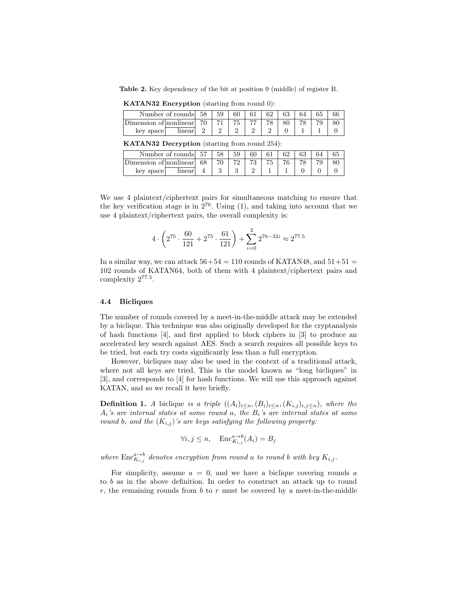Table 2. Key dependency of the bit at position 9 (middle) of register B.

|                               | Number of rounds 58 | 59    | 60 | 61 | 62 | 63 | 64 |  |
|-------------------------------|---------------------|-------|----|----|----|----|----|--|
| Dimension of $ nonlinear $ 70 |                     | -71 - |    |    |    | 80 |    |  |
| key space                     | linear              |       |    |    |    |    |    |  |

KATAN32 Encryption (starting from round 0):

|  | KATAN32 Decryption (starting from round 254): |  |  |
|--|-----------------------------------------------|--|--|
|--|-----------------------------------------------|--|--|

|                        | Number of rounds | .57 | 59 | 60 |    |    |   |  |
|------------------------|------------------|-----|----|----|----|----|---|--|
| Dimension of nonlinear |                  | 68  |    |    | 75 | 76 | ⊸ |  |
| key space              | linear           |     |    |    |    |    |   |  |

We use 4 plaintext/ciphertext pairs for simultaneous matching to ensure that the key verification stage is in  $2^{76}$ . Using (1), and taking into account that we use 4 plaintext/ciphertext pairs, the overall complexity is:

$$
4 \cdot \left(2^{75} \cdot \frac{60}{121} + 2^{75} \cdot \frac{61}{121}\right) + \sum_{i=0}^{2} 2^{76 - 32i} \approx 2^{77.5}
$$

In a similar way, we can attack  $56+54 = 110$  rounds of KATAN48, and  $51+51 =$ 102 rounds of KATAN64, both of them with 4 plaintext/ciphertext pairs and complexity 2<sup>77</sup>.<sup>5</sup> .

#### 4.4 Bicliques

The number of rounds covered by a meet-in-the-middle attack may be extended by a biclique. This technique was also originally developed for the cryptanalysis of hash functions [4], and first applied to block ciphers in [3] to produce an accelerated key search against AES. Such a search requires all possible keys to be tried, but each try costs significantly less than a full encryption.

However, bicliques may also be used in the context of a traditional attack, where not all keys are tried. This is the model known as "long bicliques" in [3], and corresponds to [4] for hash functions. We will use this approach against KATAN, and so we recall it here briefly.

**Definition 1.** A biclique is a triple  $((A_i)_{i\leq n}, (B_i)_{i\leq n}, (K_{i,j})_{i,j\leq n})$ , where the  $A_i$ 's are internal states at some round a, the  $B_i$ 's are internal states at some round b, and the  $(K_{i,j})$ 's are keys satisfying the following property:

$$
\forall i, j \le n, \quad \text{Enc}_{K_{i,j}}^{a \to b}(A_i) = B_j
$$

where  $\text{Enc}_{K_{i,j}}^{\alpha \to b}$  denotes encryption from round a to round b with key  $K_{i,j}$ .

For simplicity, assume  $a = 0$ , and we have a biclique covering rounds a to b as in the above definition. In order to construct an attack up to round  $r$ , the remaining rounds from  $b$  to  $r$  must be covered by a meet-in-the-middle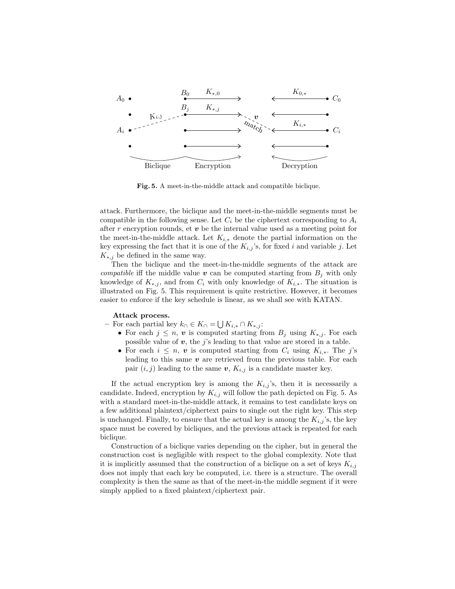

Fig. 5. A meet-in-the-middle attack and compatible biclique.

attack. Furthermore, the biclique and the meet-in-the-middle segments must be compatible in the following sense. Let  $C_i$  be the ciphertext corresponding to  $A_i$ after  $r$  encryption rounds, et  $v$  be the internal value used as a meeting point for the meet-in-the-middle attack. Let  $K_{i,*}$  denote the partial information on the key expressing the fact that it is one of the  $K_{i,j}$ 's, for fixed i and variable j. Let  $K_{*,j}$  be defined in the same way.

Then the biclique and the meet-in-the-middle segments of the attack are *compatible* iff the middle value  $\boldsymbol{v}$  can be computed starting from  $B_j$  with only knowledge of  $K_{*,j}$ , and from  $C_i$  with only knowledge of  $K_{i,*}$ . The situation is illustrated on Fig. 5. This requirement is quite restrictive. However, it becomes easier to enforce if the key schedule is linear, as we shall see with KATAN.

#### Attack process.

- For each partial key  $k \cap K \subset K$  = ∪  $K_{i,*} \cap K_{*,j}$ :
	- For each  $j \leq n$ , v is computed starting from  $B_j$  using  $K_{*,j}$ . For each possible value of  $v$ , the j's leading to that value are stored in a table.
	- For each  $i \leq n$ , v is computed starting from  $C_i$  using  $K_{i,*}$ . The j's leading to this same  $v$  are retrieved from the previous table. For each pair  $(i, j)$  leading to the same  $v, K_{i,j}$  is a candidate master key.

If the actual encryption key is among the  $K_{i,j}$ 's, then it is necessarily a candidate. Indeed, encryption by  $K_{i,j}$  will follow the path depicted on Fig. 5. As with a standard meet-in-the-middle attack, it remains to test candidate keys on a few additional plaintext/ciphertext pairs to single out the right key. This step is unchanged. Finally, to ensure that the actual key is among the  $K_{i,j}$ 's, the key space must be covered by bicliques, and the previous attack is repeated for each biclique.

Construction of a biclique varies depending on the cipher, but in general the construction cost is negligible with respect to the global complexity. Note that it is implicitly assumed that the construction of a biclique on a set of keys  $K_{i,j}$ does not imply that each key be computed, i.e. there is a structure. The overall complexity is then the same as that of the meet-in-the middle segment if it were simply applied to a fixed plaintext/ciphertext pair.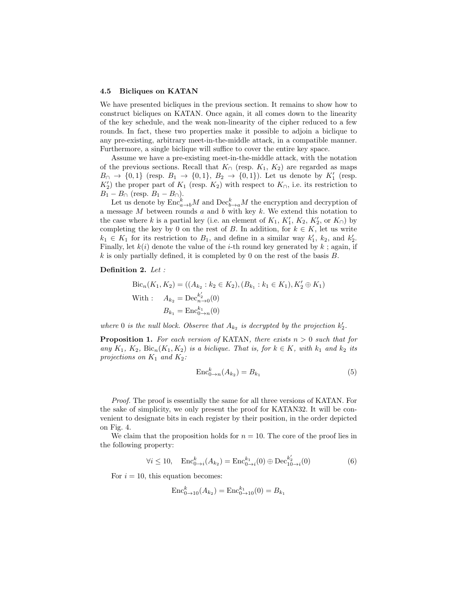#### 4.5 Bicliques on KATAN

We have presented bicliques in the previous section. It remains to show how to construct bicliques on KATAN. Once again, it all comes down to the linearity of the key schedule, and the weak non-linearity of the cipher reduced to a few rounds. In fact, these two properties make it possible to adjoin a biclique to any pre-existing, arbitrary meet-in-the-middle attack, in a compatible manner. Furthermore, a single biclique will suffice to cover the entire key space.

Assume we have a pre-existing meet-in-the-middle attack, with the notation of the previous sections. Recall that  $K<sub>∩</sub>$  (resp.  $K<sub>1</sub>, K<sub>2</sub>$ ) are regarded as maps  $B_0 \to \{0,1\}$  (resp.  $B_1 \to \{0,1\}$ ,  $B_2 \to \{0,1\}$ ). Let us denote by  $K'_1$  (resp.  $K_2'$ ) the proper part of  $K_1$  (resp.  $K_2$ ) with respect to  $K_0$ , i.e. its restriction to  $B_1 - B_{\cap}$  (resp.  $B_1 - B_{\cap}$ ).

Let us denote by  $\text{Enc}_{a\to b}^k M$  and  $\text{Dec}_{b\to a}^k M$  the encryption and decryption of a message  $M$  between rounds  $a$  and  $b$  with key  $k$ . We extend this notation to the case where k is a partial key (i.e. an element of  $K_1$ ,  $K'_1$ ,  $K_2$ ,  $K'_2$ , or  $K_{\cap}$ ) by completing the key by 0 on the rest of B. In addition, for  $k \in K$ , let us write  $k_1 \in K_1$  for its restriction to  $B_1$ , and define in a similar way  $k'_1$ ,  $k_2$ , and  $k'_2$ . Finally, let  $k(i)$  denote the value of the *i*-th round key generated by k; again, if k is only partially defined, it is completed by 0 on the rest of the basis  $B$ .

#### Definition 2. Let :

Bic<sub>n</sub>(K<sub>1</sub>, K<sub>2</sub>) = ((A<sub>k<sub>2</sub></sub> : k<sub>2</sub> 
$$
\in
$$
 K<sub>2</sub>), (B<sub>k<sub>1</sub></sub> : k<sub>1</sub>  $\in$  K<sub>1</sub>), K'<sub>2</sub>  $\oplus$  K<sub>1</sub>)  
With :  $A_{k_2} = \text{Dec}_{n\to 0}^{k'_2}(0)$   
 $B_{k_1} = \text{Enc}_{0\to n}^{k_1}(0)$ 

where 0 is the null block. Observe that  $A_{k_2}$  is decrypted by the projection  $k'_2$ .

**Proposition 1.** For each version of KATAN, there exists  $n > 0$  such that for any  $K_1$ ,  $K_2$ ,  $\text{Bic}_n(K_1, K_2)$  is a biclique. That is, for  $k \in K$ , with  $k_1$  and  $k_2$  its projections on  $K_1$  and  $K_2$ :

$$
Enc_{0\to n}^k(A_{k_2}) = B_{k_1} \tag{5}
$$

Proof. The proof is essentially the same for all three versions of KATAN. For the sake of simplicity, we only present the proof for KATAN32. It will be convenient to designate bits in each register by their position, in the order depicted on Fig. 4.

We claim that the proposition holds for  $n = 10$ . The core of the proof lies in the following property:

$$
\forall i \le 10, \quad \text{Enc}_{0 \to i}^k(A_{k_2}) = \text{Enc}_{0 \to i}^{k_1}(0) \oplus \text{Dec}_{10 \to i}^{k_2'}(0) \tag{6}
$$

For  $i = 10$ , this equation becomes:

$$
Enc_{0\to 10}^k(A_{k_2}) = Enc_{0\to 10}^{k_1}(0) = B_{k_1}
$$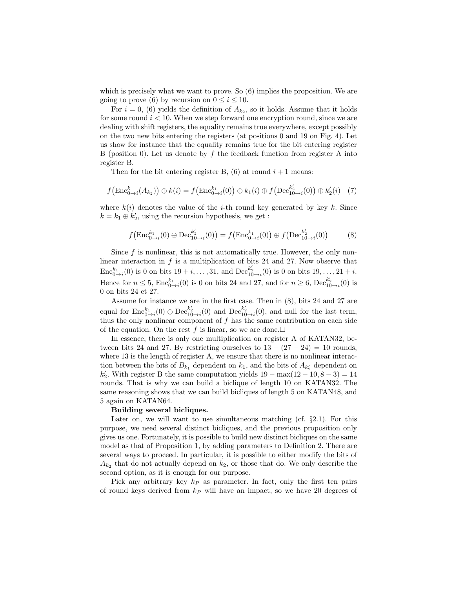which is precisely what we want to prove. So (6) implies the proposition. We are going to prove (6) by recursion on  $0 \le i \le 10$ .

For  $i = 0$ , (6) yields the definition of  $A_{k_2}$ , so it holds. Assume that it holds for some round  $i < 10$ . When we step forward one encryption round, since we are dealing with shift registers, the equality remains true everywhere, except possibly on the two new bits entering the registers (at positions 0 and 19 on Fig. 4). Let us show for instance that the equality remains true for the bit entering register B (position 0). Let us denote by  $f$  the feedback function from register A into register B.

Then for the bit entering register B,  $(6)$  at round  $i + 1$  means:

$$
f\big(\text{Enc}^{k}_{0\to i}(A_{k_2})\big) \oplus k(i) = f\big(\text{Enc}^{k_1}_{0\to i}(0)\big) \oplus k_1(i) \oplus f\big(\text{Dec}^{k'_2}_{10\to i}(0)\big) \oplus k'_2(i) \quad (7)
$$

where  $k(i)$  denotes the value of the *i*-th round key generated by key k. Since  $k = k_1 \oplus k_2'$ , using the recursion hypothesis, we get :

$$
f\left(\text{Enc}_{0\to i}^{k_1}(0) \oplus \text{Dec}_{10\to i}^{k_2'}(0)\right) = f\left(\text{Enc}_{0\to i}^{k_1}(0)\right) \oplus f\left(\text{Dec}_{10\to i}^{k_2'}(0)\right) \tag{8}
$$

Since  $f$  is nonlinear, this is not automatically true. However, the only nonlinear interaction in  $f$  is a multiplication of bits 24 and 27. Now observe that  $\text{Enc}_{0 \to i}^{k_1}(0)$  is 0 on bits  $19 + i, \ldots, 31$ , and  $\text{Dec}_{10 \to i}^{k_2'}(0)$  is 0 on bits  $19, \ldots, 21 + i$ . Hence for  $n \leq 5$ ,  $\text{Enc}_{0\to i}^{k_1}(0)$  is 0 on bits 24 and 27, and for  $n \geq 6$ ,  $\text{Dec}_{10\to i}^{k_2'}(0)$  is 0 on bits 24 et 27.

Assume for instance we are in the first case. Then in (8), bits 24 and 27 are equal for  $\text{Enc}_{0\to i}^{k_1}(0) \oplus \text{Dec}_{10\to i}^{k_2'}(0)$  and  $\text{Dec}_{10\to i}^{k_2'}(0)$ , and null for the last term, thus the only nonlinear component of  $f$  has the same contribution on each side of the equation. On the rest f is linear, so we are done.

In essence, there is only one multiplication on register A of KATAN32, between bits 24 and 27. By restricting ourselves to  $13 - (27 - 24) = 10$  rounds, where 13 is the length of register A, we ensure that there is no nonlinear interaction between the bits of  $B_{k_1}$  dependent on  $k_1$ , and the bits of  $A_{k'_2}$  dependent on  $k'_2$ . With register B the same computation yields  $19 - \max(12 - 10, 8 - 3) = 14$ rounds. That is why we can build a biclique of length 10 on KATAN32. The same reasoning shows that we can build bicliques of length 5 on KATAN48, and 5 again on KATAN64.

#### Building several bicliques.

Later on, we will want to use simultaneous matching (cf.  $\S 2.1$ ). For this purpose, we need several distinct bicliques, and the previous proposition only gives us one. Fortunately, it is possible to build new distinct bicliques on the same model as that of Proposition 1, by adding parameters to Definition 2. There are several ways to proceed. In particular, it is possible to either modify the bits of  $A_{k_2}$  that do not actually depend on  $k_2$ , or those that do. We only describe the second option, as it is enough for our purpose.

Pick any arbitrary key  $k_P$  as parameter. In fact, only the first ten pairs of round keys derived from  $k_P$  will have an impact, so we have 20 degrees of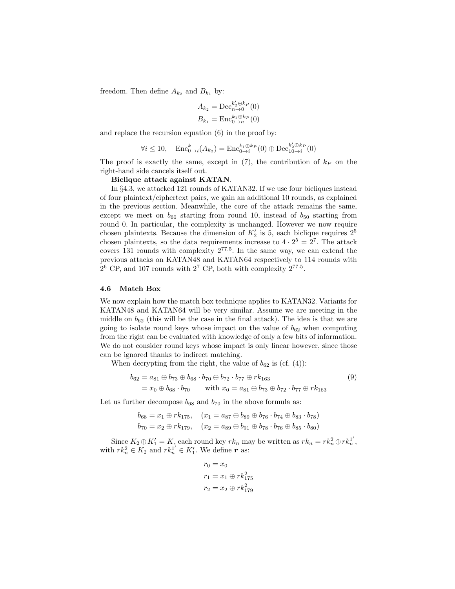freedom. Then define  $A_{k_2}$  and  $B_{k_1}$  by:

$$
A_{k_2} = \text{Dec}_{n \to 0}^{k'_2 \oplus k_P}(0)
$$
  

$$
B_{k_1} = \text{Enc}_{0 \to n}^{k_1 \oplus k_P}(0)
$$

and replace the recursion equation (6) in the proof by:

$$
\forall i \le 10, \quad \text{Enc}_{0 \to i}^k(A_{k_2}) = \text{Enc}_{0 \to i}^{k_1 \oplus k_P}(0) \oplus \text{Dec}_{10 \to i}^{k_2' \oplus k_P}(0)
$$

The proof is exactly the same, except in  $(7)$ , the contribution of  $k_P$  on the right-hand side cancels itself out.

#### Biclique attack against KATAN.

In §4.3, we attacked 121 rounds of KATAN32. If we use four bicliques instead of four plaintext/ciphertext pairs, we gain an additional 10 rounds, as explained in the previous section. Meanwhile, the core of the attack remains the same, except we meet on  $b_{60}$  starting from round 10, instead of  $b_{50}$  starting from round 0. In particular, the complexity is unchanged. However we now require chosen plaintexts. Because the dimension of  $K_2'$  is 5, each biclique requires  $2^5$ chosen plaintexts, so the data requirements increase to  $4 \cdot 2^5 = 2^7$ . The attack covers 131 rounds with complexity 2<sup>77</sup>.<sup>5</sup> . In the same way, we can extend the previous attacks on KATAN48 and KATAN64 respectively to 114 rounds with  $2^6$  CP, and 107 rounds with  $2^7$  CP, both with complexity  $2^{77.5}$ .

#### 4.6 Match Box

We now explain how the match box technique applies to KATAN32. Variants for KATAN48 and KATAN64 will be very similar. Assume we are meeting in the middle on  $b_{62}$  (this will be the case in the final attack). The idea is that we are going to isolate round keys whose impact on the value of  $b_{62}$  when computing from the right can be evaluated with knowledge of only a few bits of information. We do not consider round keys whose impact is only linear however, since those can be ignored thanks to indirect matching.

When decrypting from the right, the value of  $b_{62}$  is (cf. (4)):

$$
b_{62} = a_{81} \oplus b_{73} \oplus b_{68} \cdot b_{70} \oplus b_{72} \cdot b_{77} \oplus rk_{163}
$$
  
=  $x_0 \oplus b_{68} \cdot b_{70}$  with  $x_0 = a_{81} \oplus b_{73} \oplus b_{72} \cdot b_{77} \oplus rk_{163}$  (9)

Let us further decompose  $b_{68}$  and  $b_{70}$  in the above formula as:

$$
b_{68} = x_1 \oplus rk_{175}, \quad (x_1 = a_{87} \oplus b_{89} \oplus b_{76} \cdot b_{74} \oplus b_{83} \cdot b_{78})
$$
  

$$
b_{70} = x_2 \oplus rk_{179}, \quad (x_2 = a_{89} \oplus b_{91} \oplus b_{78} \cdot b_{76} \oplus b_{85} \cdot b_{80})
$$

Since  $K_2 \oplus K_1' = K$ , each round key  $rk_n$  may be written as  $rk_n = rk_n^2 \oplus rk_n^{1'}$ , with  $rk_n^2 \in K_2$  and  $rk_n^{1'} \in K'_1$ . We define r as:

$$
r_0 = x_0
$$
  
\n
$$
r_1 = x_1 \oplus rk_{175}^2
$$
  
\n
$$
r_2 = x_2 \oplus rk_{179}^2
$$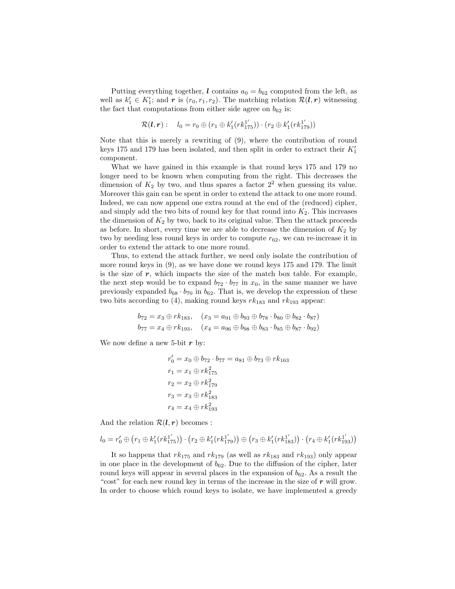Putting everything together, l contains  $a_0 = b_{62}$  computed from the left, as well as  $k'_1 \in K'_1$ ; and r is  $(r_0, r_1, r_2)$ . The matching relation  $\mathcal{R}(l, r)$  witnessing the fact that computations from either side agree on  $b_{62}$  is:

$$
\mathcal{R}(l,r): \quad l_0 = r_0 \oplus (r_1 \oplus k'_1(rk_{175}^{1'})) \cdot (r_2 \oplus k'_1(rk_{179}^{1'}))
$$

Note that this is merely a rewriting of (9), where the contribution of round keys 175 and 179 has been isolated, and then split in order to extract their  $K_1'$ component.

What we have gained in this example is that round keys 175 and 179 no longer need to be known when computing from the right. This decreases the dimension of  $K_2$  by two, and thus spares a factor  $2^2$  when guessing its value. Moreover this gain can be spent in order to extend the attack to one more round. Indeed, we can now append one extra round at the end of the (reduced) cipher, and simply add the two bits of round key for that round into  $K_2$ . This increases the dimension of  $K_2$  by two, back to its original value. Then the attack proceeds as before. In short, every time we are able to decrease the dimension of  $K_2$  by two by needing less round keys in order to compute  $r_{62}$ , we can re-increase it in order to extend the attack to one more round.

Thus, to extend the attack further, we need only isolate the contribution of more round keys in (9), as we have done we round keys 175 and 179. The limit is the size of  $r$ , which impacts the size of the match box table. For example, the next step would be to expand  $b_{72} \cdot b_{77}$  in  $x_0$ , in the same manner we have previously expanded  $b_{68} \cdot b_{70}$  in  $b_{62}$ . That is, we develop the expression of these two bits according to (4), making round keys  $rk_{183}$  and  $rk_{193}$  appear:

$$
b_{72} = x_3 \oplus rk_{183}, \quad (x_3 = a_{91} \oplus b_{93} \oplus b_{78} \cdot b_{80} \oplus b_{82} \cdot b_{87})
$$
  
 $b_{77} = x_4 \oplus rk_{193}, \quad (x_4 = a_{96} \oplus b_{98} \oplus b_{83} \cdot b_{85} \oplus b_{87} \cdot b_{92})$ 

We now define a new 5-bit  $r$  by:

$$
r'_0 = x_0 \oplus b_{72} \cdot b_{77} = a_{81} \oplus b_{73} \oplus rk_{163}
$$
  
\n
$$
r_1 = x_1 \oplus rk_{175}^2
$$
  
\n
$$
r_2 = x_2 \oplus rk_{179}^2
$$
  
\n
$$
r_3 = x_3 \oplus rk_{183}^2
$$
  
\n
$$
r_4 = x_4 \oplus rk_{193}^2
$$

And the relation  $\mathcal{R}(l, r)$  becomes :

$$
l_0 = r'_0 \oplus (r_1 \oplus k'_1(rk_{175}^{1'}) ) \cdot (r_2 \oplus k'_1(rk_{179}^{1'}) ) \oplus (r_3 \oplus k'_1(rk_{183}^{1'}) ) \cdot (r_4 \oplus k'_1(rk_{193}^{1'}) )
$$

It so happens that  $rk_{175}$  and  $rk_{179}$  (as well as  $rk_{183}$  and  $rk_{193}$ ) only appear in one place in the development of  $b_{62}$ . Due to the diffusion of the cipher, later round keys will appear in several places in the expansion of  $b_{62}$ . As a result the "cost" for each new round key in terms of the increase in the size of  $r$  will grow. In order to choose which round keys to isolate, we have implemented a greedy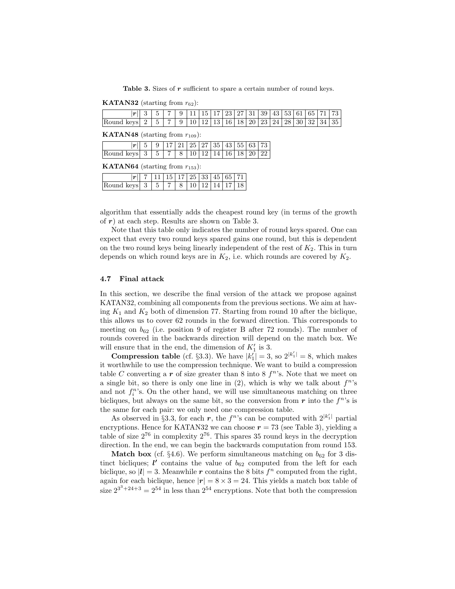Table 3. Sizes of r sufficient to spare a certain number of round keys.

**KATAN32** (starting from  $r_{62}$ ):

| $\vert \boldsymbol{r} \vert$ | $\tilde{\phantom{a}}$ | $\overline{ }$ | 9 |  |  |  |  |  |  | 15   17   23   27   31   39   43   53   61   65   71   73      |
|------------------------------|-----------------------|----------------|---|--|--|--|--|--|--|----------------------------------------------------------------|
| Round keys                   | 5                     | $\overline{ }$ | 9 |  |  |  |  |  |  | 10   12   13   16   18   20   23   24   28   30   32   34   35 |
|                              |                       |                |   |  |  |  |  |  |  |                                                                |

**KATAN48** (starting from  $r_{109}$ ):

|                                                                                                  |  |  |  |  |  | $5 \mid 9 \mid 17 \mid 21 \mid 25 \mid 27 \mid 35 \mid 43 \mid 55 \mid 63 \mid 73 \mid$ |
|--------------------------------------------------------------------------------------------------|--|--|--|--|--|-----------------------------------------------------------------------------------------|
| Round keys $3 \mid 5 \mid 7 \mid 8 \mid 10 \mid 12 \mid 14 \mid 16 \mid 18 \mid 20 \mid 22 \mid$ |  |  |  |  |  |                                                                                         |

**KATAN64** (starting from  $r_{153}$ ):

|                                                                                         | $\overline{7}$   11   15   17   25   33   45   65   71 |  |  |  |  |
|-----------------------------------------------------------------------------------------|--------------------------------------------------------|--|--|--|--|
| $\sqrt{1 \text{ keys } 3 \mid 5 \mid 7 \mid 8 \mid 10 \mid 12 \mid 14 \mid 17 \mid 18}$ |                                                        |  |  |  |  |

algorithm that essentially adds the cheapest round key (in terms of the growth of  $r$ ) at each step. Results are shown on Table 3.

Note that this table only indicates the number of round keys spared. One can expect that every two round keys spared gains one round, but this is dependent on the two round keys being linearly independent of the rest of  $K_2$ . This in turn depends on which round keys are in  $K_2$ , i.e. which rounds are covered by  $K_2$ .

#### 4.7 Final attack

In this section, we describe the final version of the attack we propose against KATAN32, combining all components from the previous sections. We aim at having  $K_1$  and  $K_2$  both of dimension 77. Starting from round 10 after the biclique, this allows us to cover 62 rounds in the forward direction. This corresponds to meeting on  $b_{62}$  (i.e. position 9 of register B after 72 rounds). The number of rounds covered in the backwards direction will depend on the match box. We will ensure that in the end, the dimension of  $K_1'$  is 3.

**Compression table** (cf. §3.3). We have  $|k_1| = 3$ , so  $2^{|k_1|} = 8$ , which makes it worthwhile to use the compression technique. We want to build a compression table C converting a r of size greater than 8 into 8  $f<sup>n</sup>$ 's. Note that we meet on a single bit, so there is only one line in  $(2)$ , which is why we talk about  $f^n$ 's and not  $f_i^n$ 's. On the other hand, we will use simultaneous matching on three bicliques, but always on the same bit, so the conversion from  $r$  into the  $f<sup>n</sup>$ 's is the same for each pair: we only need one compression table.

As observed in §3.3, for each  $r$ , the  $f^n$ 's can be computed with  $2^{|k'_1|}$  partial encryptions. Hence for KATAN32 we can choose  $r = 73$  (see Table 3), yielding a table of size  $2^{76}$  in complexity  $2^{76}$ . This spares 35 round keys in the decryption direction. In the end, we can begin the backwards computation from round 153.

**Match box** (cf. §4.6). We perform simultaneous matching on  $b_{62}$  for 3 distinct bicliques;  $\mathbf{l}'$  contains the value of  $b_{62}$  computed from the left for each biclique, so  $|l| = 3$ . Meanwhile r contains the 8 bits  $f^n$  computed from the right, again for each biclique, hence  $|r| = 8 \times 3 = 24$ . This yields a match box table of size  $2^{3^3+24+3} = 2^{54}$  in less than  $2^{54}$  encryptions. Note that both the compression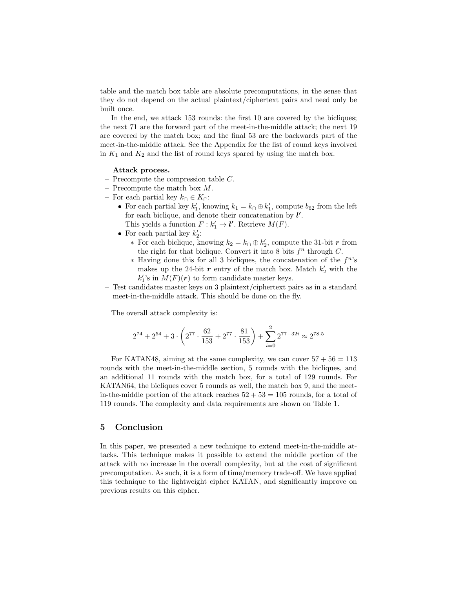table and the match box table are absolute precomputations, in the sense that they do not depend on the actual plaintext/ciphertext pairs and need only be built once.

In the end, we attack 153 rounds: the first 10 are covered by the bicliques; the next 71 are the forward part of the meet-in-the-middle attack; the next 19 are covered by the match box; and the final 53 are the backwards part of the meet-in-the-middle attack. See the Appendix for the list of round keys involved in  $K_1$  and  $K_2$  and the list of round keys spared by using the match box.

#### Attack process.

- $-$  Precompute the compression table  $C$ .
- $-$  Precompute the match box  $M$ .
- For each partial key  $k∩ ∈ K∩$ :
	- For each partial key  $k'_1$ , knowing  $k_1 = k \cap \bigoplus k'_1$ , compute  $b_{62}$  from the left for each biclique, and denote their concatenation by  $l'$ . This yields a function  $F : k'_1 \to \mathbf{l}'$ . Retrieve  $M(F)$ .
	- For each partial key  $k_2'$ :
		- ∗ For each biclique, knowing  $k_2 = k_0 \oplus k'_2$ , compute the 31-bit r from the right for that biclique. Convert it into 8 bits  $f^n$  through C.
		- ∗ Having done this for all 3 bicliques, the concatenation of the f <sup>n</sup>'s makes up the 24-bit  $r$  entry of the match box. Match  $k'_2$  with the  $k_1$ 's in  $M(F)(r)$  to form candidate master keys.
- Test candidates master keys on 3 plaintext/ciphertext pairs as in a standard meet-in-the-middle attack. This should be done on the fly.

The overall attack complexity is:

$$
2^{74} + 2^{54} + 3 \cdot \left(2^{77} \cdot \frac{62}{153} + 2^{77} \cdot \frac{81}{153}\right) + \sum_{i=0}^{2} 2^{77 - 32i} \approx 2^{78.5}
$$

For KATAN48, aiming at the same complexity, we can cover  $57 + 56 = 113$ rounds with the meet-in-the-middle section, 5 rounds with the bicliques, and an additional 11 rounds with the match box, for a total of 129 rounds. For KATAN64, the bicliques cover 5 rounds as well, the match box 9, and the meetin-the-middle portion of the attack reaches  $52 + 53 = 105$  rounds, for a total of 119 rounds. The complexity and data requirements are shown on Table 1.

# 5 Conclusion

In this paper, we presented a new technique to extend meet-in-the-middle attacks. This technique makes it possible to extend the middle portion of the attack with no increase in the overall complexity, but at the cost of significant precomputation. As such, it is a form of time/memory trade-off. We have applied this technique to the lightweight cipher KATAN, and significantly improve on previous results on this cipher.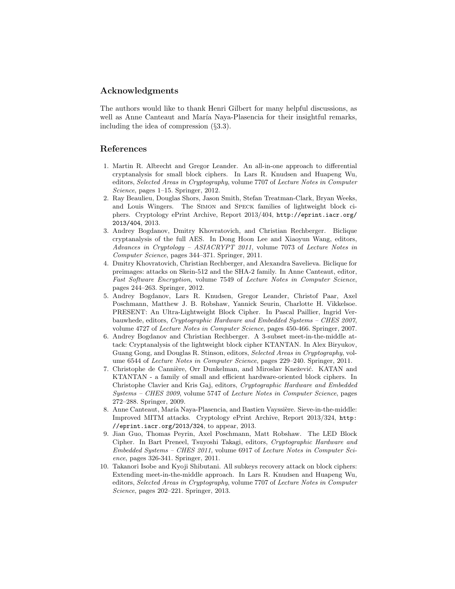# Acknowledgments

The authors would like to thank Henri Gilbert for many helpful discussions, as well as Anne Canteaut and María Naya-Plasencia for their insightful remarks, including the idea of compression (§3.3).

## References

- 1. Martin R. Albrecht and Gregor Leander. An all-in-one approach to differential cryptanalysis for small block ciphers. In Lars R. Knudsen and Huapeng Wu, editors, Selected Areas in Cryptography, volume 7707 of Lecture Notes in Computer Science, pages 1–15. Springer, 2012.
- 2. Ray Beaulieu, Douglas Shors, Jason Smith, Stefan Treatman-Clark, Bryan Weeks, and Louis Wingers. The Simon and Speck families of lightweight block ciphers. Cryptology ePrint Archive, Report 2013/404, http://eprint.iacr.org/ 2013/404, 2013.
- 3. Andrey Bogdanov, Dmitry Khovratovich, and Christian Rechberger. Biclique cryptanalysis of the full AES. In Dong Hoon Lee and Xiaoyun Wang, editors, Advances in Cryptology – ASIACRYPT 2011, volume 7073 of Lecture Notes in Computer Science, pages 344–371. Springer, 2011.
- 4. Dmitry Khovratovich, Christian Rechberger, and Alexandra Savelieva. Biclique for preimages: attacks on Skein-512 and the SHA-2 family. In Anne Canteaut, editor, Fast Software Encryption, volume 7549 of Lecture Notes in Computer Science, pages 244–263. Springer, 2012.
- 5. Andrey Bogdanov, Lars R. Knudsen, Gregor Leander, Christof Paar, Axel Poschmann, Matthew J. B. Robshaw, Yannick Seurin, Charlotte H. Vikkelsoe. PRESENT: An Ultra-Lightweight Block Cipher. In Pascal Paillier, Ingrid Verbauwhede, editors, Cryptographic Hardware and Embedded Systems – CHES 2007, volume 4727 of Lecture Notes in Computer Science, pages 450-466. Springer, 2007.
- 6. Andrey Bogdanov and Christian Rechberger. A 3-subset meet-in-the-middle attack: Cryptanalysis of the lightweight block cipher KTANTAN. In Alex Biryukov, Guang Gong, and Douglas R. Stinson, editors, Selected Areas in Cryptography, volume 6544 of Lecture Notes in Computer Science, pages 229–240. Springer, 2011.
- 7. Christophe de Cannière, Orr Dunkelman, and Miroslav Knežević. KATAN and KTANTAN - a family of small and efficient hardware-oriented block ciphers. In Christophe Clavier and Kris Gaj, editors, Cryptographic Hardware and Embedded Systems – CHES 2009, volume 5747 of Lecture Notes in Computer Science, pages 272–288. Springer, 2009.
- 8. Anne Canteaut, María Naya-Plasencia, and Bastien Vayssière. Sieve-in-the-middle: Improved MITM attacks. Cryptology ePrint Archive, Report 2013/324, http: //eprint.iacr.org/2013/324, to appear, 2013.
- 9. Jian Guo, Thomas Peyrin, Axel Poschmann, Matt Robshaw. The LED Block Cipher. In Bart Preneel, Tsuyoshi Takagi, editors, Cryptographic Hardware and Embedded Systems – CHES 2011, volume 6917 of Lecture Notes in Computer Science, pages 326-341. Springer, 2011.
- 10. Takanori Isobe and Kyoji Shibutani. All subkeys recovery attack on block ciphers: Extending meet-in-the-middle approach. In Lars R. Knudsen and Huapeng Wu, editors, Selected Areas in Cryptography, volume 7707 of Lecture Notes in Computer Science, pages 202–221. Springer, 2013.